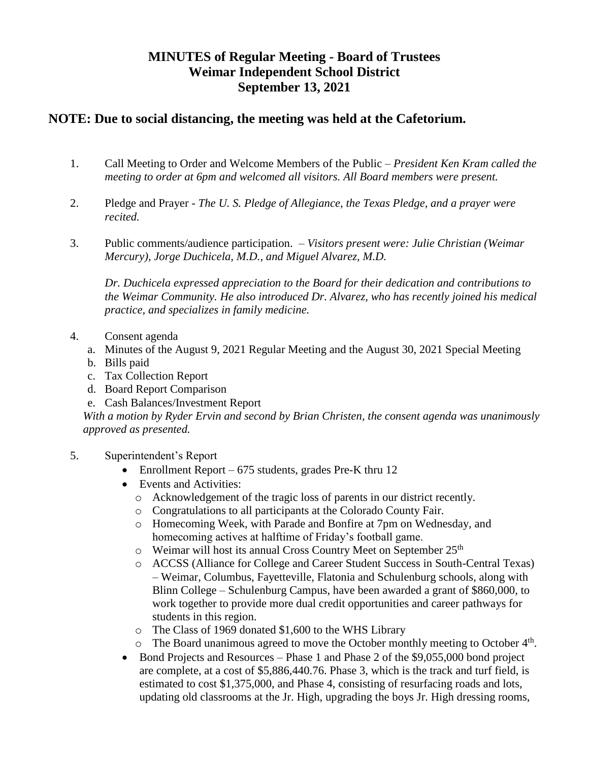## **MINUTES of Regular Meeting - Board of Trustees Weimar Independent School District September 13, 2021**

## **NOTE: Due to social distancing, the meeting was held at the Cafetorium.**

- 1. Call Meeting to Order and Welcome Members of the Public *President Ken Kram called the meeting to order at 6pm and welcomed all visitors. All Board members were present.*
- 2. Pledge and Prayer *The U. S. Pledge of Allegiance, the Texas Pledge, and a prayer were recited.*
- 3. Public comments/audience participation. *Visitors present were: Julie Christian (Weimar Mercury), Jorge Duchicela, M.D., and Miguel Alvarez, M.D.*

*Dr. Duchicela expressed appreciation to the Board for their dedication and contributions to the Weimar Community. He also introduced Dr. Alvarez, who has recently joined his medical practice, and specializes in family medicine.*

- 4. Consent agenda
	- a. Minutes of the August 9, 2021 Regular Meeting and the August 30, 2021 Special Meeting
	- b. Bills paid
	- c. Tax Collection Report
	- d. Board Report Comparison
	- e. Cash Balances/Investment Report

*With a motion by Ryder Ervin and second by Brian Christen, the consent agenda was unanimously approved as presented.* 

- 5. Superintendent's Report
	- Enrollment Report 675 students, grades Pre-K thru 12
	- Events and Activities:
		- o Acknowledgement of the tragic loss of parents in our district recently.
		- o Congratulations to all participants at the Colorado County Fair.
		- o Homecoming Week, with Parade and Bonfire at 7pm on Wednesday, and homecoming actives at halftime of Friday's football game.
		- o Weimar will host its annual Cross Country Meet on September 25<sup>th</sup>
		- o ACCSS (Alliance for College and Career Student Success in South-Central Texas) – Weimar, Columbus, Fayetteville, Flatonia and Schulenburg schools, along with Blinn College – Schulenburg Campus, have been awarded a grant of \$860,000, to work together to provide more dual credit opportunities and career pathways for students in this region.
		- o The Class of 1969 donated \$1,600 to the WHS Library
		- $\circ$  The Board unanimous agreed to move the October monthly meeting to October 4<sup>th</sup>.
	- Bond Projects and Resources Phase 1 and Phase 2 of the \$9,055,000 bond project are complete, at a cost of \$5,886,440.76. Phase 3, which is the track and turf field, is estimated to cost \$1,375,000, and Phase 4, consisting of resurfacing roads and lots, updating old classrooms at the Jr. High, upgrading the boys Jr. High dressing rooms,